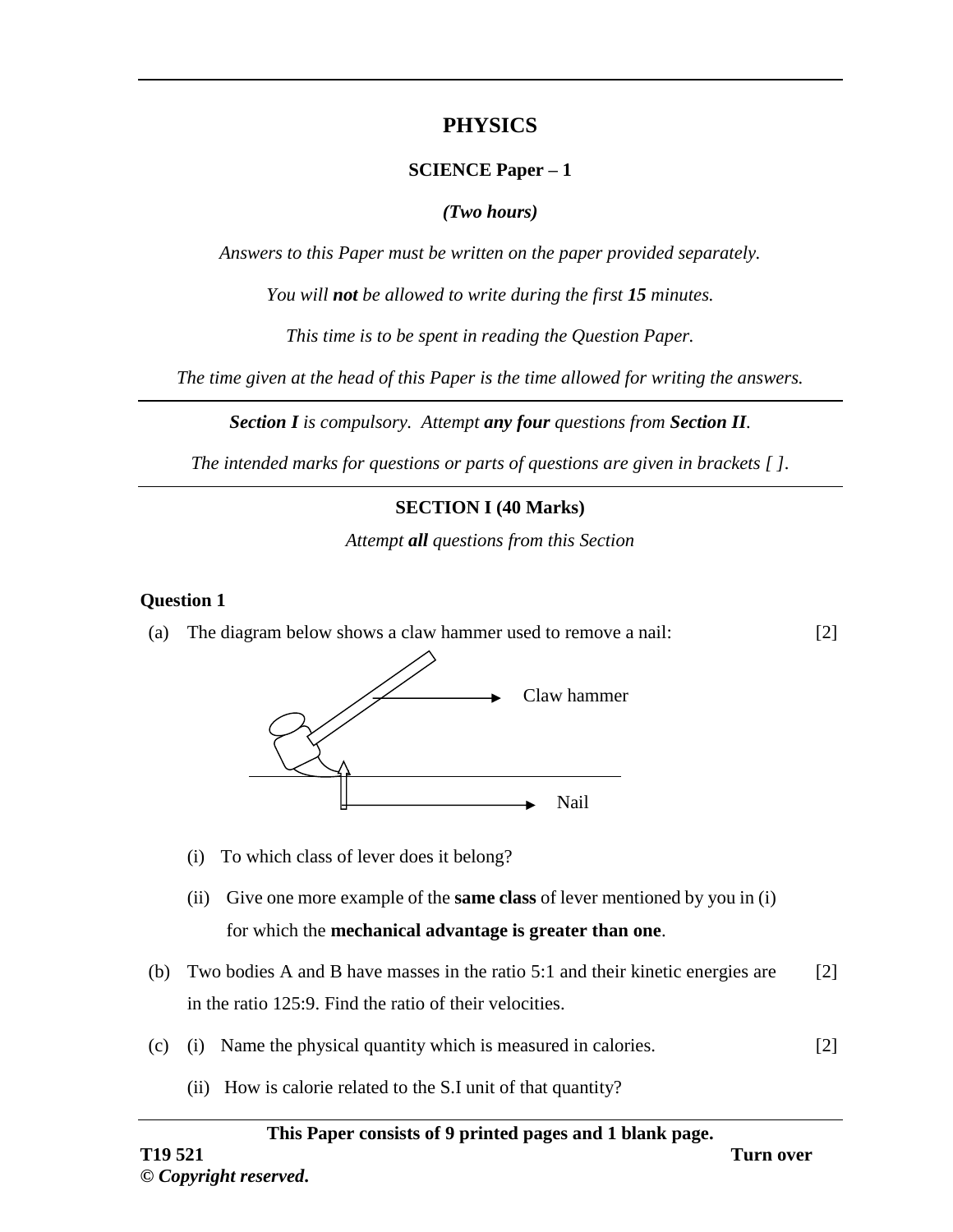# **PHYSICS**

# **SCIENCE Paper – 1**

# *(Two hours)*

*Answers to this Paper must be written on the paper provided separately.*

*You will not be allowed to write during the first 15 minutes.*

*This time is to be spent in reading the Question Paper.*

*The time given at the head of this Paper is the time allowed for writing the answers.*

*Section I is compulsory. Attempt any four questions from Section II.*

*The intended marks for questions or parts of questions are given in brackets [ ].*

# **SECTION I (40 Marks)**

*Attempt all questions from this Section*

### **Question 1**

(a) The diagram below shows a claw hammer used to remove a nail:



- (i) To which class of lever does it belong?
- (ii) Give one more example of the **same class** of lever mentioned by you in (i) for which the **mechanical advantage is greater than one**.
- (b) Two bodies A and B have masses in the ratio 5:1 and their kinetic energies are in the ratio 125:9. Find the ratio of their velocities. [2]
- (c) (i) Name the physical quantity which is measured in calories. [2]
	- (ii) How is calorie related to the S.I unit of that quantity?

#### **This Paper consists of 9 printed pages and 1 blank page.**

[2]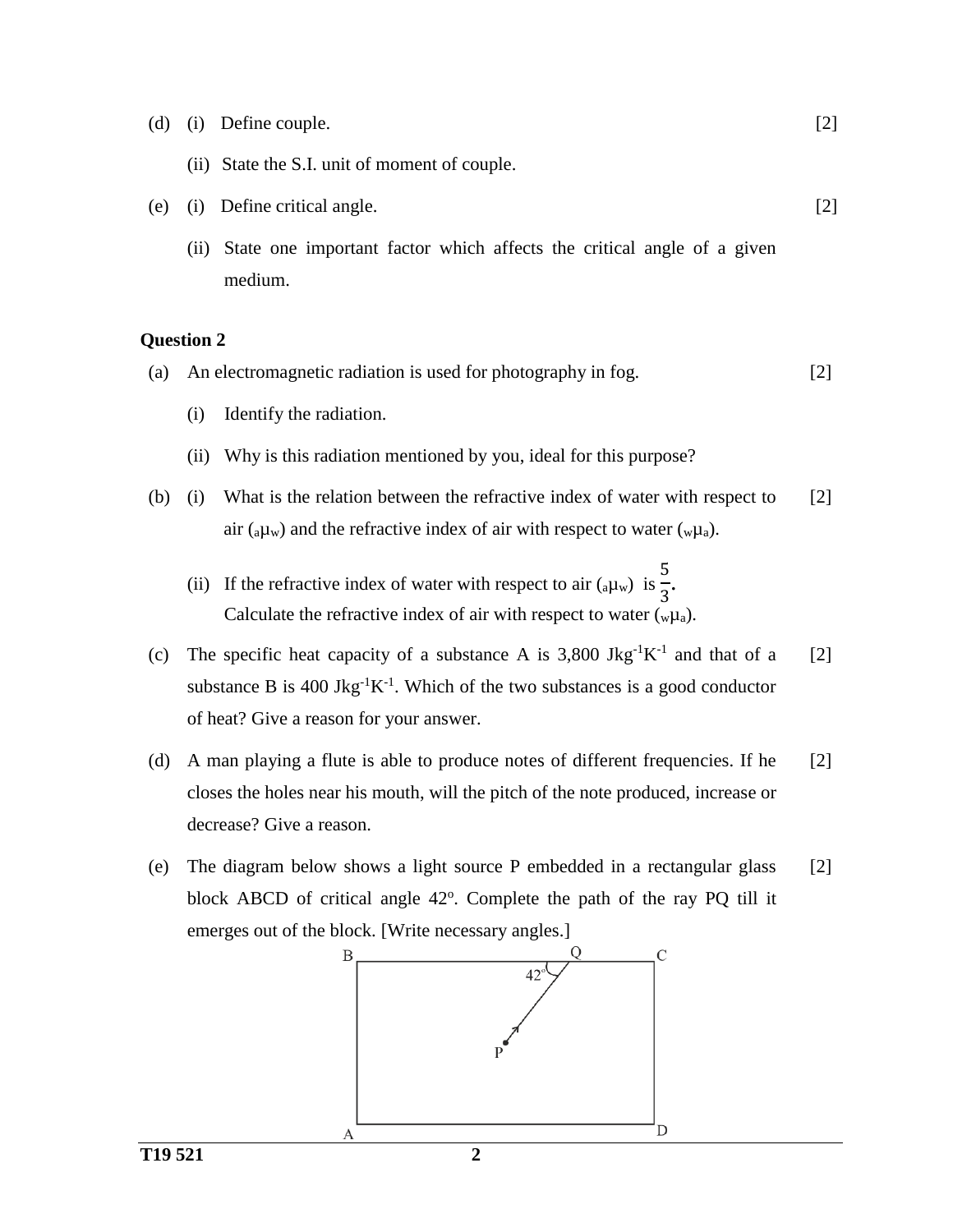(d) (i) Define couple. (ii) State the S.I. unit of moment of couple. [2]

[2]

- (e) (i) Define critical angle.
	- (ii) State one important factor which affects the critical angle of a given medium.

- (a) An electromagnetic radiation is used for photography in fog. [2]
	- (i) Identify the radiation.
	- (ii) Why is this radiation mentioned by you, ideal for this purpose?
- (b) (i) What is the relation between the refractive index of water with respect to air ( $a\mu$ <sub>w</sub>) and the refractive index of air with respect to water ( $w\mu$ <sub>a</sub>). [2]
	- (ii) If the refractive index of water with respect to air  $(a\mu_w)$  is 5  $rac{1}{3}$ . Calculate the refractive index of air with respect to water  $\binom{w\mu_a}{}$ .
- (c) The specific heat capacity of a substance A is 3,800 Jkg<sup>-1</sup>K<sup>-1</sup> and that of a substance B is 400 Jkg<sup>-1</sup>K<sup>-1</sup>. Which of the two substances is a good conductor of heat? Give a reason for your answer. [2]
- (d) A man playing a flute is able to produce notes of different frequencies. If he closes the holes near his mouth, will the pitch of the note produced, increase or decrease? Give a reason. [2]
- (e) The diagram below shows a light source P embedded in a rectangular glass block ABCD of critical angle 42°. Complete the path of the ray PQ till it emerges out of the block. [Write necessary angles.] [2]

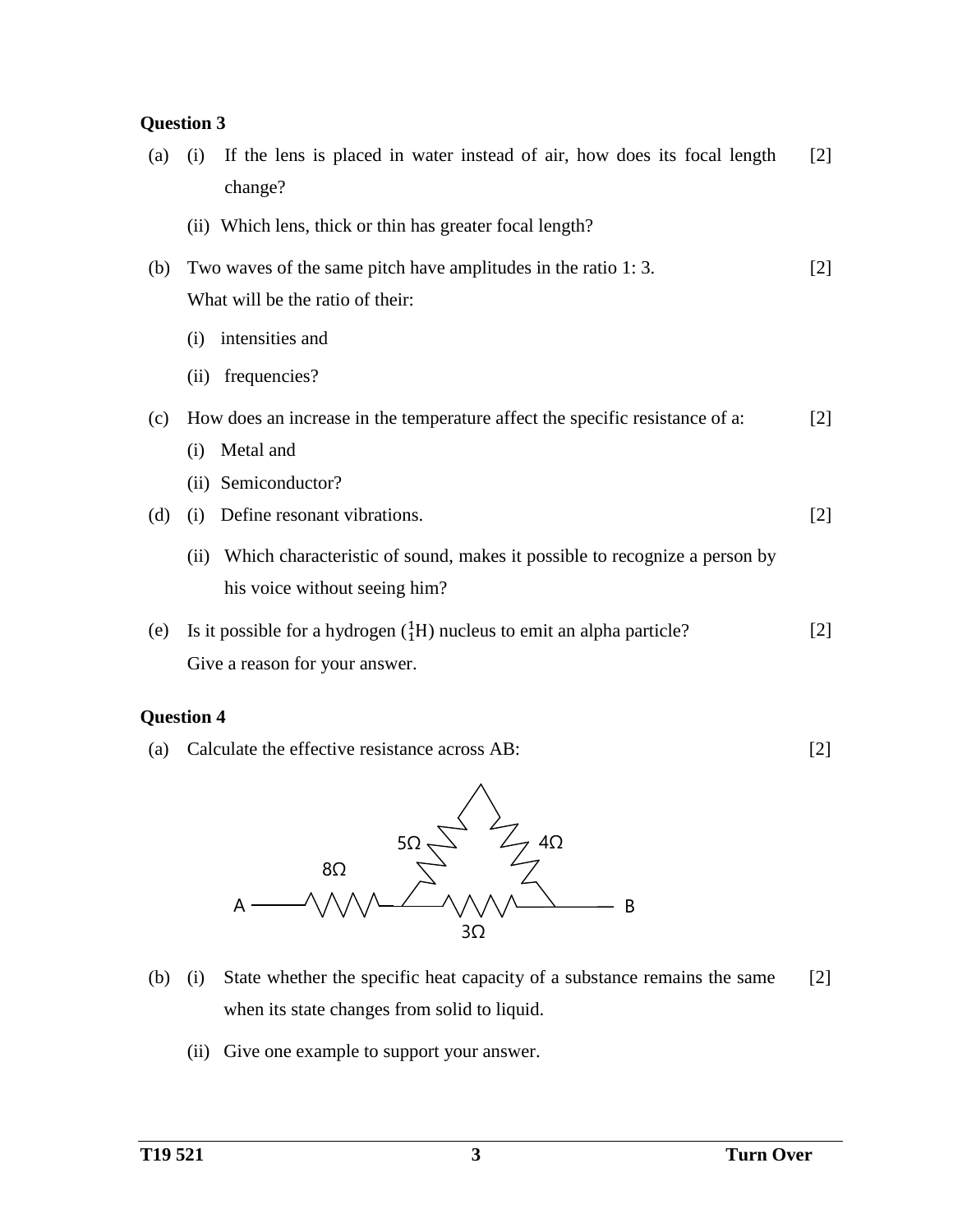# **Question 3**

| (a) | If the lens is placed in water instead of air, how does its focal length<br>(i)   | $[2]$             |
|-----|-----------------------------------------------------------------------------------|-------------------|
|     | change?                                                                           |                   |
|     | (ii) Which lens, thick or thin has greater focal length?                          |                   |
| (b) | Two waves of the same pitch have amplitudes in the ratio 1:3.                     | $[2]$             |
|     | What will be the ratio of their:                                                  |                   |
|     | intensities and<br>(i)                                                            |                   |
|     | (ii) frequencies?                                                                 |                   |
| (c) | How does an increase in the temperature affect the specific resistance of a:      | $\lceil 2 \rceil$ |
|     | Metal and<br>(i)                                                                  |                   |
|     | (ii) Semiconductor?                                                               |                   |
| (d) | Define resonant vibrations.<br>(i)                                                | $[2]$             |
|     | Which characteristic of sound, makes it possible to recognize a person by<br>(ii) |                   |
|     | his voice without seeing him?                                                     |                   |
| (e) | Is it possible for a hydrogen $({}^{1}_{1}H)$ nucleus to emit an alpha particle?  | $[2]$             |
|     | Give a reason for your answer.                                                    |                   |

# **Question 4**

(a) Calculate the effective resistance across AB: [2]



- (b) (i) State whether the specific heat capacity of a substance remains the same when its state changes from solid to liquid. [2]
	- (ii) Give one example to support your answer.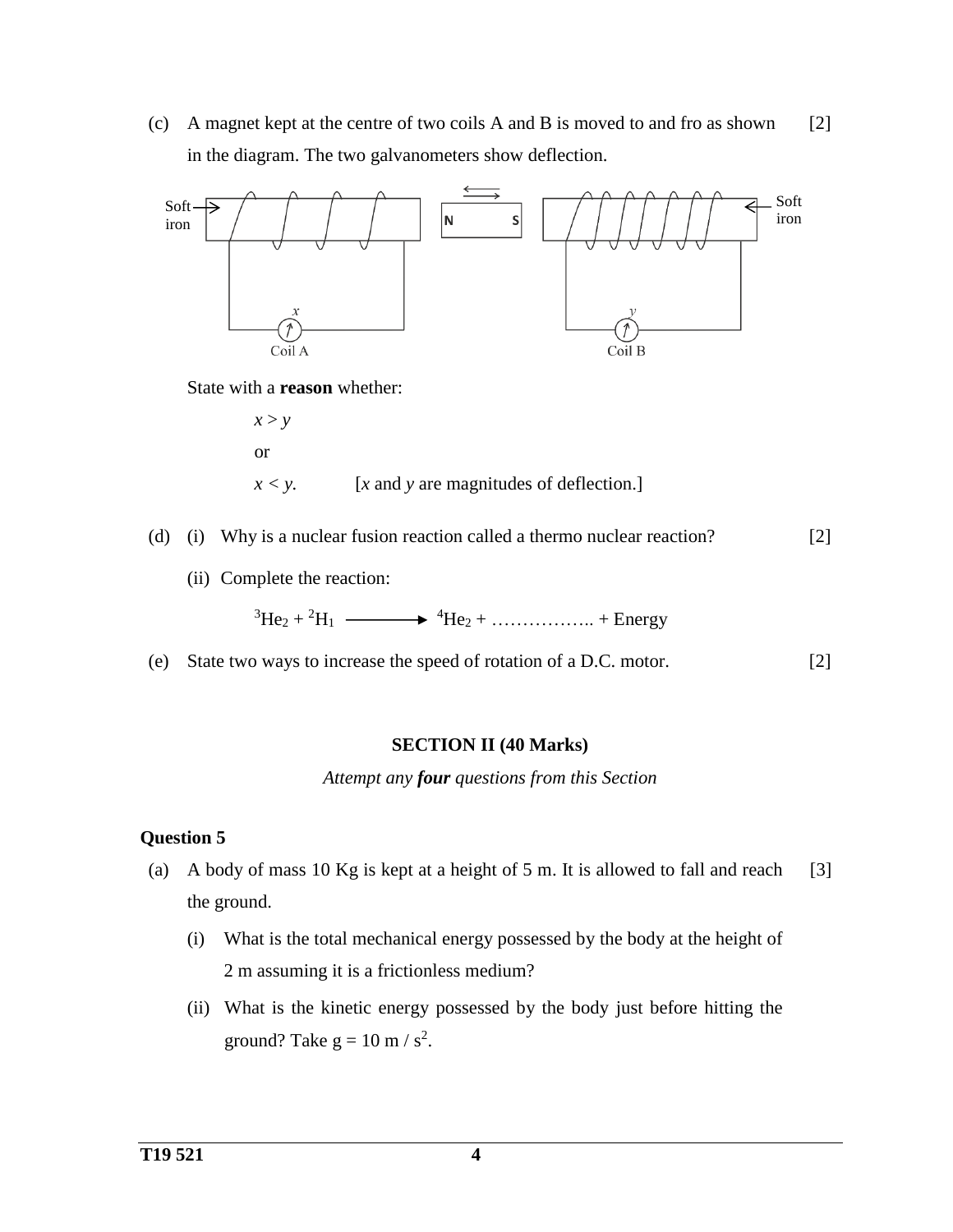(c) A magnet kept at the centre of two coils A and B is moved to and fro as shown in the diagram. The two galvanometers show deflection. [2]



State with a **reason** whether:



*x < y.* [*x* and *y* are magnitudes of deflection.]

- (d) (i) Why is a nuclear fusion reaction called a thermo nuclear reaction? [2]
	- (ii) Complete the reaction:

 ${}^{3}\text{He}_{2} + {}^{2}\text{H}_{1} \longrightarrow {}^{4}\text{He}_{2} + \dots + \text{Energy}$ 

(e) State two ways to increase the speed of rotation of a D.C. motor. [2]

#### **SECTION II (40 Marks)**

*Attempt any four questions from this Section*

- (a) A body of mass 10 Kg is kept at a height of 5 m. It is allowed to fall and reach the ground. [3]
	- (i) What is the total mechanical energy possessed by the body at the height of 2 m assuming it is a frictionless medium?
	- (ii) What is the kinetic energy possessed by the body just before hitting the ground? Take  $g = 10$  m /  $s^2$ .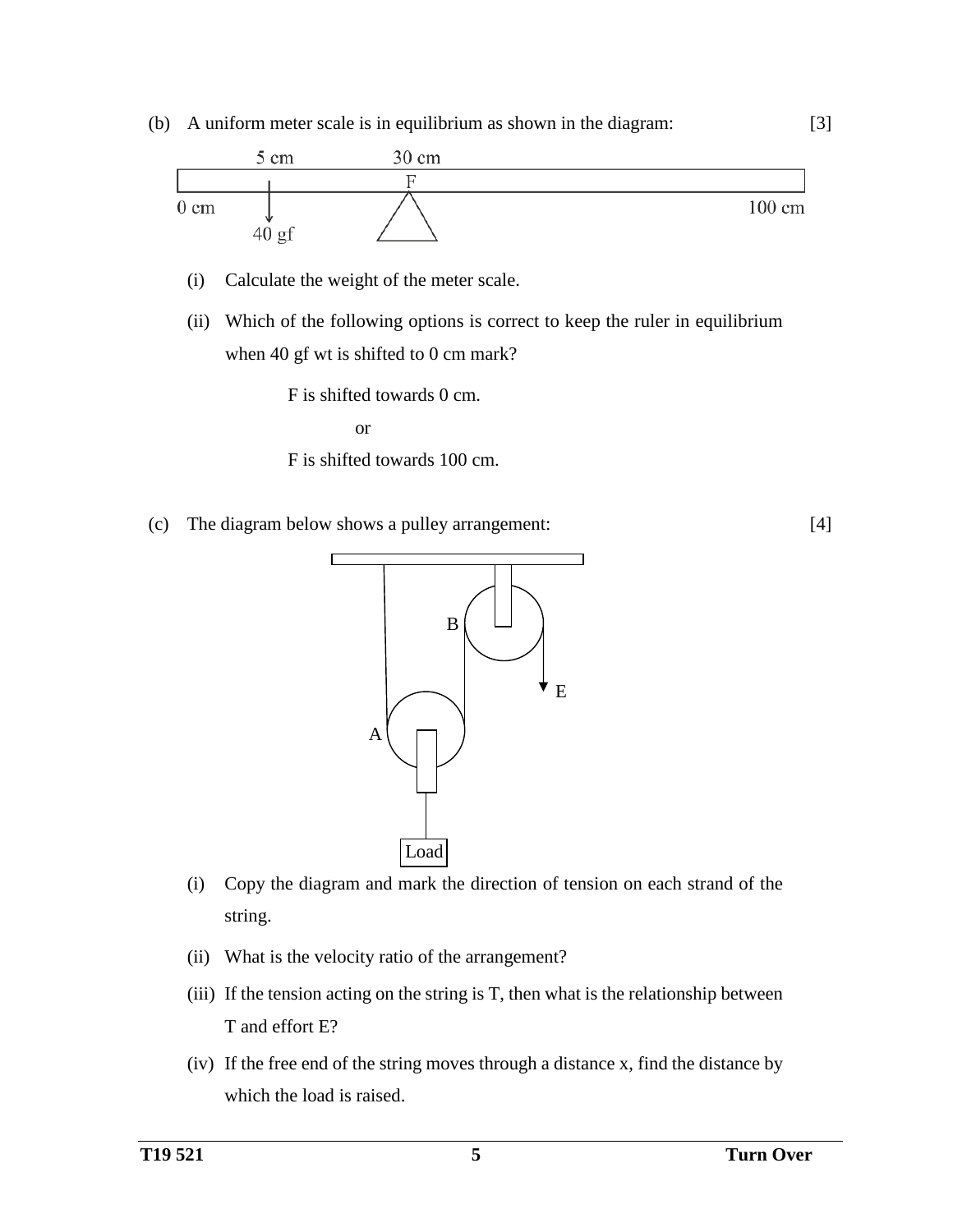



(c) The diagram below shows a pulley arrangement:



- (i) Copy the diagram and mark the direction of tension on each strand of the string.
- (ii) What is the velocity ratio of the arrangement?
- (iii) If the tension acting on the string is T, then what is the relationship between T and effort E?
- (iv) If the free end of the string moves through a distance x, find the distance by which the load is raised.

[3]

[4]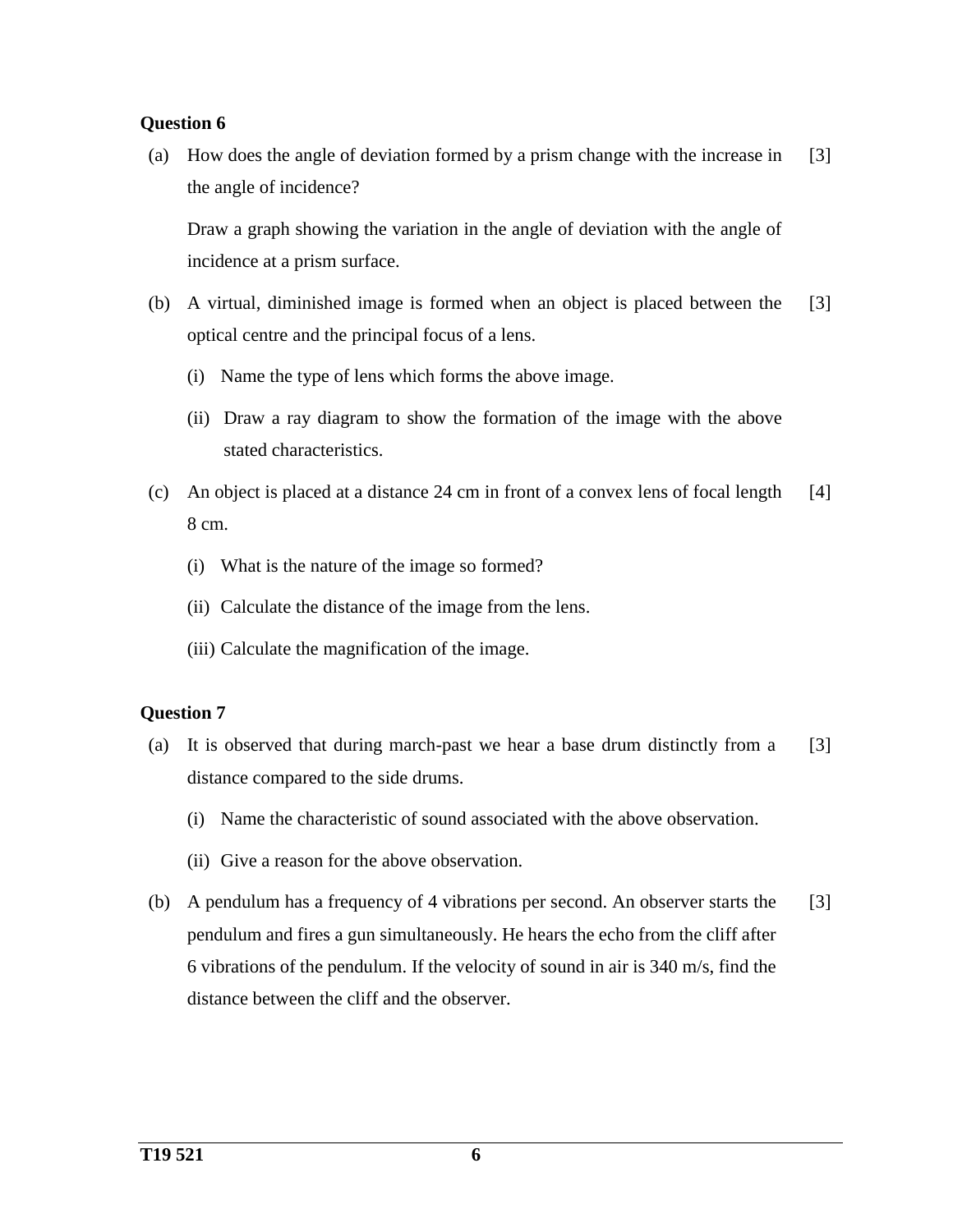### **Question 6**

(a) How does the angle of deviation formed by a prism change with the increase in the angle of incidence? [3]

Draw a graph showing the variation in the angle of deviation with the angle of incidence at a prism surface.

- (b) A virtual, diminished image is formed when an object is placed between the optical centre and the principal focus of a lens. [3]
	- (i) Name the type of lens which forms the above image.
	- (ii) Draw a ray diagram to show the formation of the image with the above stated characteristics.
- (c) An object is placed at a distance 24 cm in front of a convex lens of focal length 8 cm. [4]
	- (i) What is the nature of the image so formed?
	- (ii) Calculate the distance of the image from the lens.
	- (iii) Calculate the magnification of the image.

- (a) It is observed that during march-past we hear a base drum distinctly from a distance compared to the side drums. [3]
	- (i) Name the characteristic of sound associated with the above observation.
	- (ii) Give a reason for the above observation.
- (b) A pendulum has a frequency of 4 vibrations per second. An observer starts the pendulum and fires a gun simultaneously. He hears the echo from the cliff after 6 vibrations of the pendulum. If the velocity of sound in air is 340 m/s, find the distance between the cliff and the observer. [3]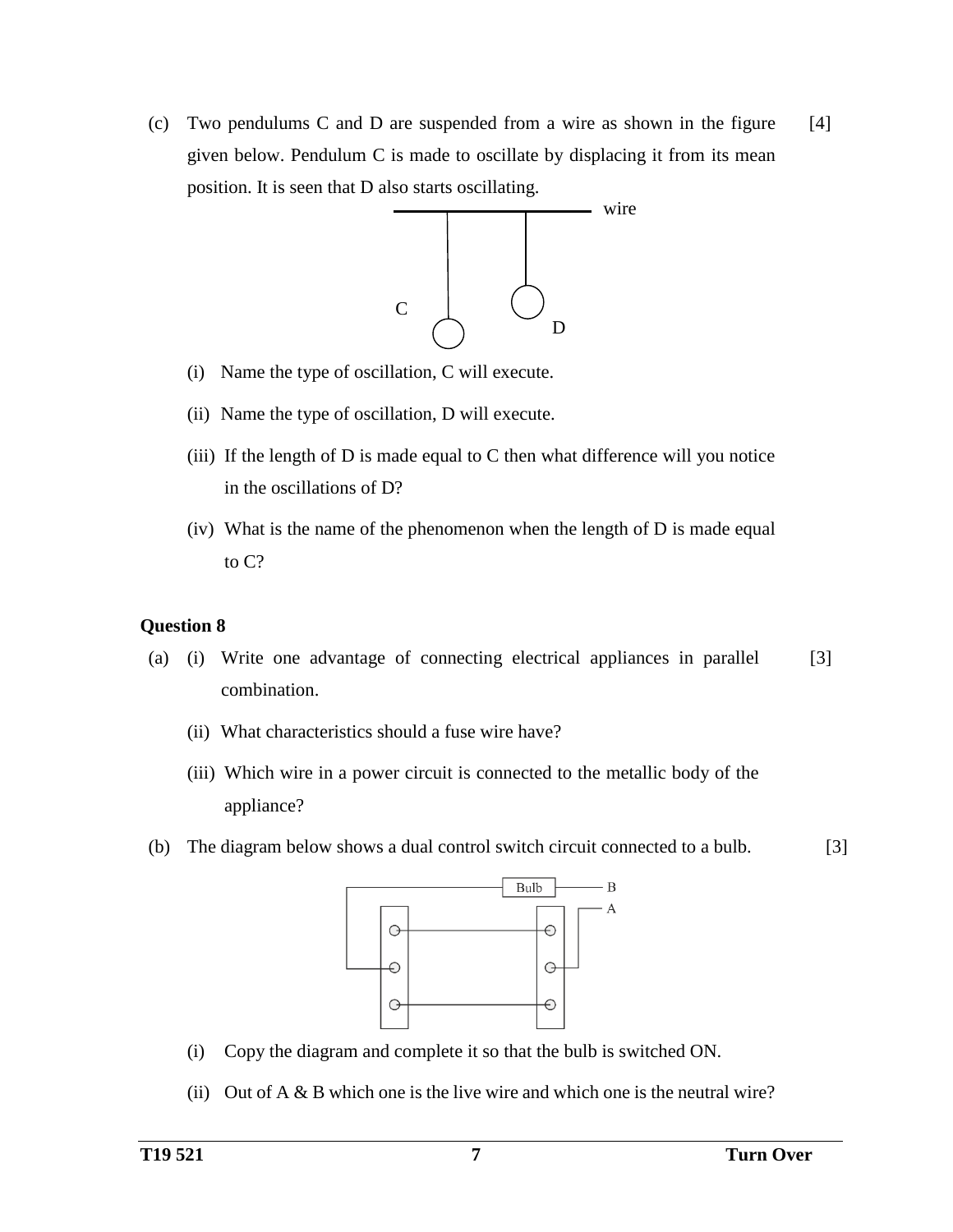(c) Two pendulums C and D are suspended from a wire as shown in the figure given below. Pendulum C is made to oscillate by displacing it from its mean position. It is seen that D also starts oscillating. [4]



- (i) Name the type of oscillation, C will execute.
- (ii) Name the type of oscillation, D will execute.
- (iii) If the length of  $D$  is made equal to  $C$  then what difference will you notice in the oscillations of D?
- (iv) What is the name of the phenomenon when the length of D is made equal to C?

- (a) (i) Write one advantage of connecting electrical appliances in parallel combination. [3]
	- (ii) What characteristics should a fuse wire have?
	- (iii) Which wire in a power circuit is connected to the metallic body of the appliance?
- (b) The diagram below shows a dual control switch circuit connected to a bulb. [3]



- (i) Copy the diagram and complete it so that the bulb is switched ON.
- (ii) Out of  $A \& B$  which one is the live wire and which one is the neutral wire?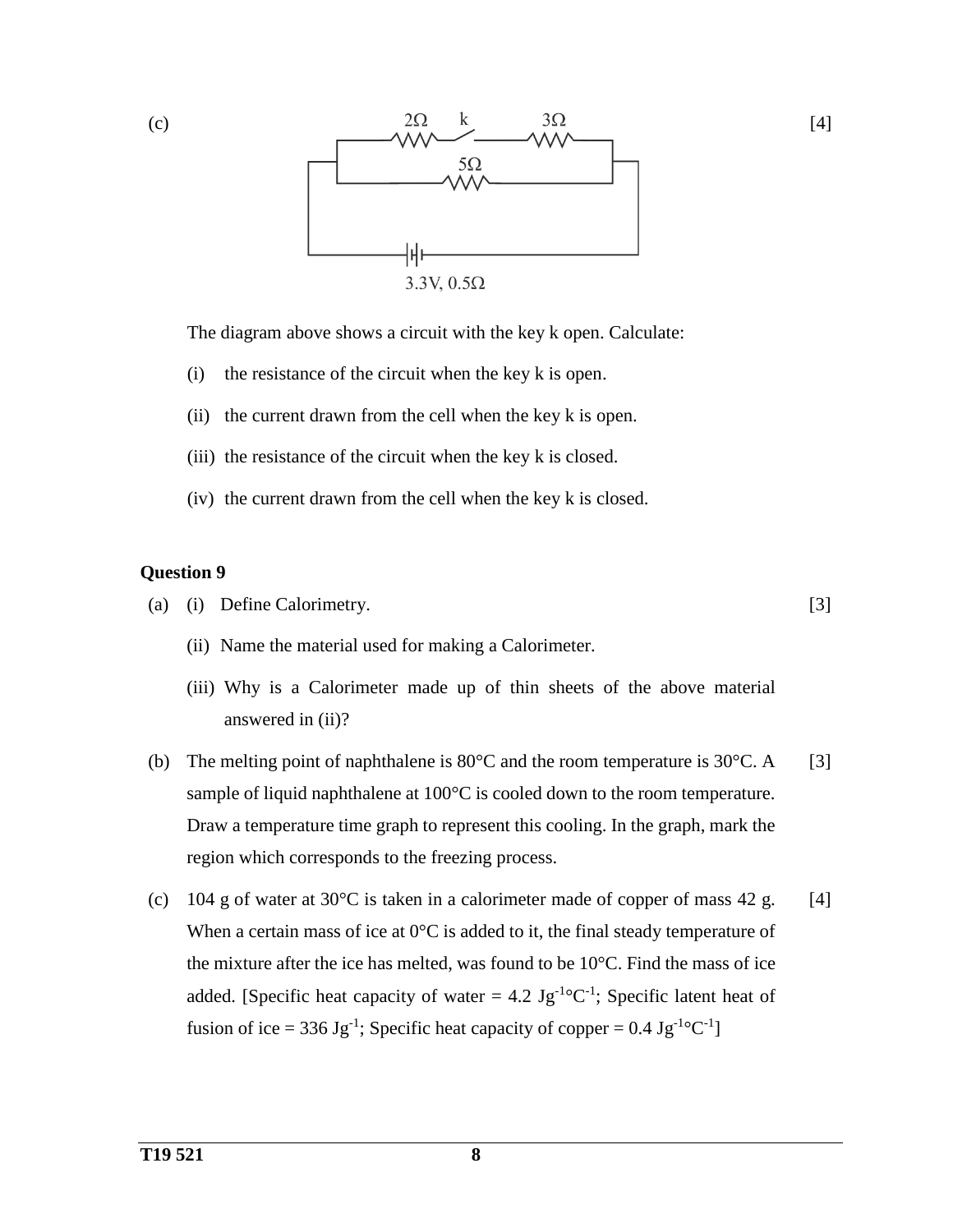

[4]

The diagram above shows a circuit with the key k open. Calculate:

- (i) the resistance of the circuit when the key k is open.
- (ii) the current drawn from the cell when the key k is open.
- (iii) the resistance of the circuit when the key k is closed.
- (iv) the current drawn from the cell when the key k is closed.

### **Question 9**

(c)

- (a) (i) Define Calorimetry. [3]
	- (ii) Name the material used for making a Calorimeter.
	- (iii) Why is a Calorimeter made up of thin sheets of the above material answered in (ii)?
- (b) The melting point of naphthalene is 80°C and the room temperature is 30°C. A sample of liquid naphthalene at 100°C is cooled down to the room temperature. Draw a temperature time graph to represent this cooling. In the graph, mark the region which corresponds to the freezing process. [3]
- (c) 104 g of water at 30°C is taken in a calorimeter made of copper of mass 42 g. When a certain mass of ice at  $0^{\circ}$ C is added to it, the final steady temperature of the mixture after the ice has melted, was found to be  $10^{\circ}$ C. Find the mass of ice added. [Specific heat capacity of water = 4.2  $\text{Jg}^{-1} \text{°C}^{-1}$ ; Specific latent heat of fusion of ice = 336 Jg<sup>-1</sup>; Specific heat capacity of copper =  $0.4 \text{ Jg}^{-1} \text{°C}^{-1}$ ] [4]